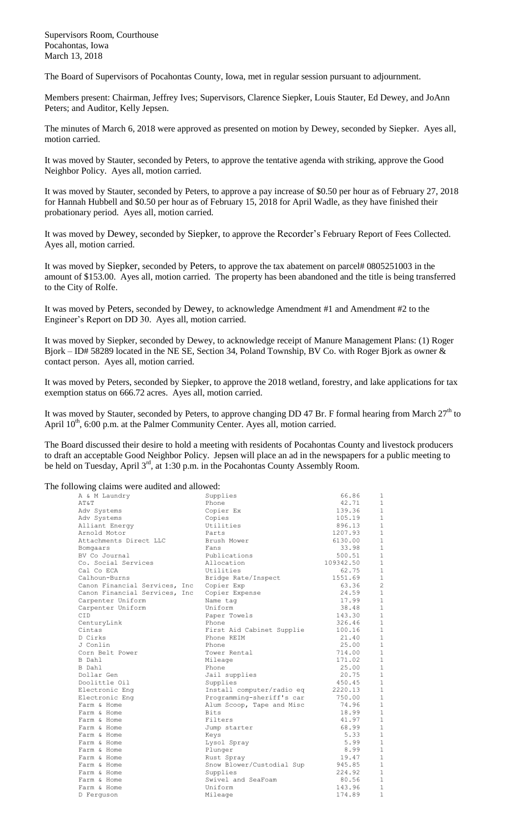Supervisors Room, Courthouse Pocahontas, Iowa March 13, 2018

The Board of Supervisors of Pocahontas County, Iowa, met in regular session pursuant to adjournment.

Members present: Chairman, Jeffrey Ives; Supervisors, Clarence Siepker, Louis Stauter, Ed Dewey, and JoAnn Peters; and Auditor, Kelly Jepsen.

The minutes of March 6, 2018 were approved as presented on motion by Dewey, seconded by Siepker. Ayes all, motion carried.

It was moved by Stauter, seconded by Peters, to approve the tentative agenda with striking, approve the Good Neighbor Policy. Ayes all, motion carried.

It was moved by Stauter, seconded by Peters, to approve a pay increase of \$0.50 per hour as of February 27, 2018 for Hannah Hubbell and \$0.50 per hour as of February 15, 2018 for April Wadle, as they have finished their probationary period. Ayes all, motion carried.

It was moved by Dewey, seconded by Siepker, to approve the Recorder's February Report of Fees Collected. Ayes all, motion carried.

It was moved by Siepker, seconded by Peters, to approve the tax abatement on parcel# 0805251003 in the amount of \$153.00. Ayes all, motion carried. The property has been abandoned and the title is being transferred to the City of Rolfe.

It was moved by Peters, seconded by Dewey, to acknowledge Amendment #1 and Amendment #2 to the Engineer's Report on DD 30. Ayes all, motion carried.

It was moved by Siepker, seconded by Dewey, to acknowledge receipt of Manure Management Plans: (1) Roger Bjork – ID# 58289 located in the NE SE, Section 34, Poland Township, BV Co. with Roger Bjork as owner & contact person. Ayes all, motion carried.

It was moved by Peters, seconded by Siepker, to approve the 2018 wetland, forestry, and lake applications for tax exemption status on 666.72 acres. Ayes all, motion carried.

It was moved by Stauter, seconded by Peters, to approve changing DD 47 Br. F formal hearing from March  $27<sup>th</sup>$  to April  $10^{th}$ , 6:00 p.m. at the Palmer Community Center. Ayes all, motion carried.

The Board discussed their desire to hold a meeting with residents of Pocahontas County and livestock producers to draft an acceptable Good Neighbor Policy. Jepsen will place an ad in the newspapers for a public meeting to be held on Tuesday, April 3<sup>rd</sup>, at 1:30 p.m. in the Pocahontas County Assembly Room.

The following claims were audited and allowed:

| A & M Laundry                 | Supplies                  | 66.86     | $\mathbf{1}$   |
|-------------------------------|---------------------------|-----------|----------------|
| AT&T                          | Phone                     | 42.71     | $\mathbf{1}$   |
| Adv Systems                   | Copier Ex                 | 139.36    | $\mathbf{1}$   |
| Adv Systems                   | Copies                    | 105.19    | $\mathbf{1}$   |
| Alliant Energy                | Utilities                 | 896.13    | $\mathbf{1}$   |
| Arnold Motor                  | Parts                     | 1207.93   | $\mathbf{1}$   |
| Attachments Direct LLC        | Brush Mower               | 6130.00   | $\mathbf{1}$   |
| Bomgaars                      | Fans                      | 33.98     | $\mathbf{1}$   |
| BV Co Journal                 | Publications              | 500.51    | $\mathbf{1}$   |
| Co. Social Services           | Allocation                | 109342.50 | $\mathbf{1}$   |
| Cal Co ECA                    | Utilities                 | 62.75     | $\mathbf{1}$   |
| Calhoun-Burns                 | Bridge Rate/Inspect       | 1551.69   | $\mathbf{1}$   |
| Canon Financial Services, Inc | Copier Exp                | 63.36     | $\overline{c}$ |
| Canon Financial Services, Inc | Copier Expense            | 24.59     | $1\,$          |
| Carpenter Uniform             | Name tag                  | 17.99     | $\mathbf{1}$   |
| Carpenter Uniform             | Uniform                   | 38.48     | $\mathbf{1}$   |
| CID                           | Paper Towels              | 143.30    | $\mathbf{1}$   |
| CenturyLink                   | Phone                     | 326.46    | $\mathbf{1}$   |
| Cintas                        | First Aid Cabinet Supplie | 100.16    | $\mathbf{1}$   |
| D Cirks                       | Phone REIM                | 21.40     | $\mathbf{1}$   |
| J Conlin                      | Phone                     | 25.00     | $\mathbf{1}$   |
| Corn Belt Power               | Tower Rental              | 714.00    | $\mathbf{1}$   |
| B Dahl                        | Mileage                   | 171.02    | $\mathbf{1}$   |
| B Dahl                        | Phone                     | 25.00     | $\mathbf{1}$   |
| Dollar Gen                    | Jail supplies             | 20.75     | $\mathbf{1}$   |
| Doolittle Oil                 | Supplies                  | 450.45    | $1\,$          |
| Electronic Eng                | Install computer/radio eq | 2220.13   | $\mathbf{1}$   |
| Electronic Eng                | Programming-sheriff's car | 750.00    | $\mathbf{1}$   |
| Farm & Home                   | Alum Scoop, Tape and Misc | 74.96     | $\mathbf{1}$   |
| Farm & Home                   | <b>Bits</b>               | 18.99     | $\mathbf{1}$   |
| Farm & Home                   | Filters                   | 41.97     | $\mathbf{1}$   |
| Farm & Home                   | Jump starter              | 68.99     | $\mathbf{1}$   |
| Farm & Home                   | Keys                      | 5.33      | $\mathbf{1}$   |
| Farm & Home                   | Lysol Spray               | 5.99      | $\mathbf{1}$   |
| Farm & Home                   | Plunger                   | 8.99      | $\mathbf{1}$   |
| Farm & Home                   | Rust Spray                | 19.47     | $1\,$          |
| Farm & Home                   | Snow Blower/Custodial Sup | 945.85    | $\mathbf{1}$   |
| Farm & Home                   | Supplies                  | 224.92    | $1\,$          |
| Farm & Home                   | Swivel and SeaFoam        | 80.56     | $\mathbf{1}$   |
| Farm & Home                   | Uniform                   | 143.96    | $\mathbf{1}$   |
| D Ferquson                    | Mileage                   | 174.89    | $\mathbf{1}$   |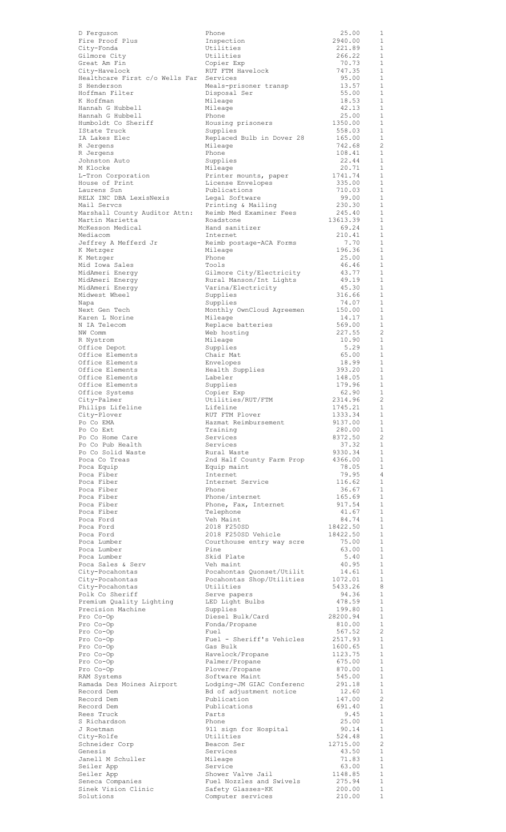| D Ferquson                                    |
|-----------------------------------------------|
| Fire Proof Plus                               |
| City-Fonda                                    |
| Gilmore City<br>Great Am Fin                  |
| City-Havelock                                 |
| Healthcare First c/o Wells Far                |
| S Henderson                                   |
| Hoffman Filter                                |
| K Hoffman                                     |
| Hannah G Hubbell                              |
| Hannah G Hubbell<br>Humboldt Co Sheriff       |
| IState Truck                                  |
| IA Lakes Elec                                 |
| R Jergens                                     |
| R Jergens                                     |
| Johnston Auto                                 |
| M Klocke                                      |
| L-Tron Corporation<br>House of Print          |
| Laurens Sun                                   |
| RELX INC DBA LexisNexis                       |
| Mail Servcs                                   |
| Marshall County Auditor Attn:                 |
| Martin Marietta                               |
| McKesson Medical                              |
| Mediacom<br>Jeffrey A Mefferd Jr              |
| K Metzger                                     |
| K Metzger                                     |
| Mid Iowa Sales                                |
| MidAmeri Energy                               |
| MidAmeri Energy                               |
| MidAmeri Energy<br>Midwest Wheel              |
| Napa                                          |
| Next Gen Tech                                 |
| Karen L Norine                                |
| N IA Telecom                                  |
| NW Comm                                       |
| R Nystrom                                     |
| Office Depot<br>Office Elements               |
| Office Elements                               |
| Office Elements                               |
| Office Elements                               |
| Office Elements                               |
| Office Systems                                |
|                                               |
| City-Palmer                                   |
| Philips Lifeline                              |
| City-Plover                                   |
| Po Co EMA                                     |
| Po Co Ext<br>Po Co Home Care                  |
| Po Co Pub Health                              |
| Po Co Solid Waste                             |
| Poca Co Treas                                 |
| Poca Equip                                    |
|                                               |
| Poca Fiber<br>Poca Fiber                      |
|                                               |
| Poca Fiber<br>Poca Fiber                      |
| Poca Fiber<br>Poca Fiber                      |
| Poca Ford                                     |
| Poca Ford                                     |
| Poca Ford                                     |
| Poca Lumber                                   |
| Poca Lumber<br>Poca Lumber                    |
| Poca Sales & Serv                             |
| City-Pocahontas                               |
| City-Pocahontas                               |
| City-Pocahontas                               |
| Polk Co Sheriff                               |
| Premium Quality Lighting<br>Precision Machine |
| Pro Co-Op                                     |
| Pro Co-Op                                     |
| Pro Co-Op                                     |
| Pro Co-Op                                     |
| Pro Co-Op                                     |
| Pro Co-Op<br>Pro Co-Op                        |
| Pro Co-Op                                     |
| RAM Systems                                   |
| Ramada Des Moines Airport                     |
| Record Dem                                    |
| Record Dem                                    |
| Record Dem                                    |
| Rees Truck<br>S Richardson                    |
| J Roetman                                     |
| City-Rolfe                                    |
| Schneider Corp                                |
| Genesis                                       |
| Janell M Schuller                             |
| Seiler App<br>Seiler App                      |
| Seneca Companies                              |
| Sinek Vision Clinic<br>Solutions              |

| D Ferguson                                                                                                                                                                                                                                                                                                                                                                                        | Phone                     | 25.00         | 1                            |
|---------------------------------------------------------------------------------------------------------------------------------------------------------------------------------------------------------------------------------------------------------------------------------------------------------------------------------------------------------------------------------------------------|---------------------------|---------------|------------------------------|
| Fire Proof Plus                                                                                                                                                                                                                                                                                                                                                                                   | Inspection                | 2940.00       | 1                            |
| City-Fonda                                                                                                                                                                                                                                                                                                                                                                                        | Utilities                 | 221.89        | 1                            |
| Gilmore City                                                                                                                                                                                                                                                                                                                                                                                      | Utilities                 | 266.22        | 1                            |
| Great Am Fin                                                                                                                                                                                                                                                                                                                                                                                      | Copier Exp                | 70.73         | $\mathbf{1}$                 |
| City-Havelock                                                                                                                                                                                                                                                                                                                                                                                     | RUT FTM Havelock          | 747.35        | 1                            |
| Healthcare First c/o Wells Far                                                                                                                                                                                                                                                                                                                                                                    | Services                  | 95.00         | $\mathbf{1}$                 |
| S Henderson                                                                                                                                                                                                                                                                                                                                                                                       | Meals-prisoner transp     | 13.57         | 1                            |
| Hoffman Filter                                                                                                                                                                                                                                                                                                                                                                                    | Disposal Ser              | 55.00         | $\mathbf{1}$                 |
| K Hoffman                                                                                                                                                                                                                                                                                                                                                                                         | Mileage                   | 18.53         | 1                            |
| Hannah G Hubbell                                                                                                                                                                                                                                                                                                                                                                                  |                           | 42.13         | $\mathbf{1}$                 |
|                                                                                                                                                                                                                                                                                                                                                                                                   | Mileage                   |               |                              |
| Hannah G Hubbell                                                                                                                                                                                                                                                                                                                                                                                  | Phone                     | 25.00         | 1                            |
| Humboldt Co Sheriff                                                                                                                                                                                                                                                                                                                                                                               | Housing prisoners         | 1350.00       | $\mathbf{1}$                 |
| IState Truck                                                                                                                                                                                                                                                                                                                                                                                      | Supplies                  | 558.03        | 1                            |
| IA Lakes Elec                                                                                                                                                                                                                                                                                                                                                                                     | Replaced Bulb in Dover 28 | 165.00        | 1                            |
| R Jergens                                                                                                                                                                                                                                                                                                                                                                                         | Mileage                   | 742.68        | 2                            |
| R Jerqens                                                                                                                                                                                                                                                                                                                                                                                         | Phone                     | 108.41        | 1                            |
| Johnston Auto                                                                                                                                                                                                                                                                                                                                                                                     | Supplies                  | 22.44         | 1                            |
| M Klocke                                                                                                                                                                                                                                                                                                                                                                                          | Mileage                   | 20.71         | 1                            |
| L-Tron Corporation                                                                                                                                                                                                                                                                                                                                                                                | Printer mounts, paper     | 1741.74       | 1                            |
| House of Print                                                                                                                                                                                                                                                                                                                                                                                    | License Envelopes         | 335.00        | 1                            |
| Laurens Sun                                                                                                                                                                                                                                                                                                                                                                                       | Publications              | 710.03        | 1                            |
| RELX INC DBA LexisNexis                                                                                                                                                                                                                                                                                                                                                                           | Legal Software            | 99.00         | 1                            |
| Mail Servcs                                                                                                                                                                                                                                                                                                                                                                                       | Printing & Mailing        | 230.30        | 1                            |
| Marshall County Auditor Attn:                                                                                                                                                                                                                                                                                                                                                                     | Reimb Med Examiner Fees   | 245.40        | -1                           |
| Martin Marietta                                                                                                                                                                                                                                                                                                                                                                                   | Roadstone                 | 13613.39      | 1                            |
| McKesson Medical                                                                                                                                                                                                                                                                                                                                                                                  | Hand sanitizer            | 69.24         | <sup>1</sup>                 |
| Mediacom                                                                                                                                                                                                                                                                                                                                                                                          | Internet                  | 210.41        | $\mathbf{1}$                 |
| Jeffrey A Mefferd Jr                                                                                                                                                                                                                                                                                                                                                                              | Reimb postage-ACA Forms   | 7.70          | $\mathbf{1}$                 |
| K Metzger                                                                                                                                                                                                                                                                                                                                                                                         | Mileage                   | 196.36        | $\mathbf{1}$                 |
| K Metzger                                                                                                                                                                                                                                                                                                                                                                                         | Phone                     | 25.00         | $\mathbf{1}$                 |
| Mid Iowa Sales                                                                                                                                                                                                                                                                                                                                                                                    | Tools                     | 46.46         | $\mathbf{1}$                 |
| MidAmeri Energy                                                                                                                                                                                                                                                                                                                                                                                   | Gilmore City/Electricity  | 43.77         | 1                            |
| MidAmeri Energy                                                                                                                                                                                                                                                                                                                                                                                   | Rural Manson/Int Lights   | 49.19         | $\mathbf{1}$                 |
| MidAmeri Energy                                                                                                                                                                                                                                                                                                                                                                                   | Varina/Electricity        | 45.30         | -1                           |
| Midwest Wheel                                                                                                                                                                                                                                                                                                                                                                                     | Supplies                  | 316.66        | $\mathbf{1}$                 |
|                                                                                                                                                                                                                                                                                                                                                                                                   |                           | 74.07         | 1                            |
| Napa                                                                                                                                                                                                                                                                                                                                                                                              | Supplies                  |               |                              |
| Next Gen Tech                                                                                                                                                                                                                                                                                                                                                                                     | Monthly OwnCloud Agreemen | 150.00        | $\mathbf{1}$                 |
| Karen L Norine                                                                                                                                                                                                                                                                                                                                                                                    | Mileage                   | 14.17         | 1                            |
| N IA Telecom                                                                                                                                                                                                                                                                                                                                                                                      | Replace batteries         | 569.00        | $\mathbf{1}$                 |
| NW Comm                                                                                                                                                                                                                                                                                                                                                                                           | Web hosting               | 227.55        | -2                           |
| R Nystrom                                                                                                                                                                                                                                                                                                                                                                                         | Mileage                   | 10.90         | $\mathbf{1}$                 |
| Office Depot                                                                                                                                                                                                                                                                                                                                                                                      | Supplies                  | 5.29          | 1                            |
| Office Elements                                                                                                                                                                                                                                                                                                                                                                                   | Chair Mat                 | 65.00         | $\mathbf{1}$                 |
| Office Elements                                                                                                                                                                                                                                                                                                                                                                                   | Envelopes                 | 18.99         | 1                            |
| Office Elements                                                                                                                                                                                                                                                                                                                                                                                   | Health Supplies           | 393.20        | $\overline{1}$               |
| Office Elements                                                                                                                                                                                                                                                                                                                                                                                   | Labeler                   | 148.05        | -1                           |
| Office Elements                                                                                                                                                                                                                                                                                                                                                                                   | Supplies                  | 179.96        | $\mathbf{1}$                 |
| Office Systems                                                                                                                                                                                                                                                                                                                                                                                    | Copier Exp                | 62.90         | 1                            |
| City-Palmer                                                                                                                                                                                                                                                                                                                                                                                       | Utilities/RUT/FTM         | 2314.96       | $\overline{\phantom{0}}^2$   |
| Philips Lifeline                                                                                                                                                                                                                                                                                                                                                                                  | Lifeline                  | 1745.21       | 1                            |
| City-Plover                                                                                                                                                                                                                                                                                                                                                                                       | RUT FTM Plover            | 1333.34       | 1                            |
| Po Co EMA                                                                                                                                                                                                                                                                                                                                                                                         | Hazmat Reimbursement      | 9137.00       | 1                            |
| Po Co Ext                                                                                                                                                                                                                                                                                                                                                                                         | Training                  | 280.00        | $\mathbf{1}$                 |
| Po Co Home Care                                                                                                                                                                                                                                                                                                                                                                                   | Services                  | 8372.50       | $\overline{c}$               |
| Po Co Pub Health                                                                                                                                                                                                                                                                                                                                                                                  | Services                  | 37.32         | $\mathbf{1}$                 |
| Po Co Solid Waste                                                                                                                                                                                                                                                                                                                                                                                 | Rural Waste               | 9330.34       | 1                            |
| Poca Co Treas                                                                                                                                                                                                                                                                                                                                                                                     | 2nd Half County Farm Prop | 4366.00       | $\mathbf{1}$                 |
| Poca Equip                                                                                                                                                                                                                                                                                                                                                                                        | Equip maint               | 78.05         | 1                            |
| Poca Fiber                                                                                                                                                                                                                                                                                                                                                                                        | Internet                  | 79.95         | $\overline{4}$               |
| Poca Fiber                                                                                                                                                                                                                                                                                                                                                                                        | Internet Service          | 116.62        | 1                            |
| Poca Fiber                                                                                                                                                                                                                                                                                                                                                                                        | Phone                     | 36.67         | 1                            |
| Poca Fiber                                                                                                                                                                                                                                                                                                                                                                                        | Phone/internet            | 165.69        | 1                            |
| Poca Fiber                                                                                                                                                                                                                                                                                                                                                                                        | Phone, Fax, Internet      | 917.54        | 1                            |
| Poca Fiber                                                                                                                                                                                                                                                                                                                                                                                        | Telephone                 | 41.67         | 1                            |
| Poca Ford                                                                                                                                                                                                                                                                                                                                                                                         | Veh Maint                 | 84.74         | 1                            |
| Poca Ford                                                                                                                                                                                                                                                                                                                                                                                         | 2018 F250SD               | 18422.50      | 1                            |
| Poca Ford                                                                                                                                                                                                                                                                                                                                                                                         | 2018 F250SD Vehicle       | 18422.50      | 1                            |
| Poca Lumber                                                                                                                                                                                                                                                                                                                                                                                       | Courthouse entry way scre | 75.00         | 1                            |
|                                                                                                                                                                                                                                                                                                                                                                                                   |                           |               |                              |
| Poca Lumber<br>Poca Lumber                                                                                                                                                                                                                                                                                                                                                                        | Pine<br>Skid Plate        | 63.00<br>5.40 | $\mathbf{1}$<br>1            |
|                                                                                                                                                                                                                                                                                                                                                                                                   |                           |               |                              |
| Poca Sales & Serv                                                                                                                                                                                                                                                                                                                                                                                 | Veh maint                 | 40.95         | <sup>1</sup>                 |
| City-Pocahontas                                                                                                                                                                                                                                                                                                                                                                                   | Pocahontas Quonset/Utilit | 14.61         | $\mathbf{1}$                 |
| City-Pocahontas                                                                                                                                                                                                                                                                                                                                                                                   | Pocahontas Shop/Utilities | 1072.01       | - 1                          |
| City-Pocahontas                                                                                                                                                                                                                                                                                                                                                                                   | Utilities                 | 5433.26       | 8                            |
| Polk Co Sheriff                                                                                                                                                                                                                                                                                                                                                                                   | Serve papers              | 94.36         | $\mathbf{1}$<br>$\mathbf{1}$ |
| Premium Quality Lighting                                                                                                                                                                                                                                                                                                                                                                          |                           |               |                              |
|                                                                                                                                                                                                                                                                                                                                                                                                   | LED Light Bulbs           | 478.59        |                              |
|                                                                                                                                                                                                                                                                                                                                                                                                   | Supplies                  | 199.80        | $\mathbf{1}$                 |
|                                                                                                                                                                                                                                                                                                                                                                                                   | Diesel Bulk/Card          | 28200.94      | $\mathbf{1}$                 |
|                                                                                                                                                                                                                                                                                                                                                                                                   | Fonda/Propane             | 810.00        | 1                            |
|                                                                                                                                                                                                                                                                                                                                                                                                   | Fuel                      | 567.52        | $\overline{c}$               |
|                                                                                                                                                                                                                                                                                                                                                                                                   | Fuel - Sheriff's Vehicles | 2517.93       | 1                            |
|                                                                                                                                                                                                                                                                                                                                                                                                   | Gas Bulk                  | 1600.65       | 1                            |
|                                                                                                                                                                                                                                                                                                                                                                                                   | Havelock/Propane          | 1123.75       | 1                            |
|                                                                                                                                                                                                                                                                                                                                                                                                   | Palmer/Propane            | 675.00        | 1                            |
|                                                                                                                                                                                                                                                                                                                                                                                                   | Plover/Propane            | 870.00        | 1                            |
|                                                                                                                                                                                                                                                                                                                                                                                                   | Software Maint            | 545.00        | 1                            |
|                                                                                                                                                                                                                                                                                                                                                                                                   | Lodging-JM GIAC Conferenc | 291.18        | 1                            |
|                                                                                                                                                                                                                                                                                                                                                                                                   | Bd of adjustment notice   | 12.60         | 1                            |
|                                                                                                                                                                                                                                                                                                                                                                                                   | Publication               | 147.00        | 2                            |
|                                                                                                                                                                                                                                                                                                                                                                                                   | Publications              | 691.40        | -1                           |
|                                                                                                                                                                                                                                                                                                                                                                                                   | Parts                     | 9.45          | 1                            |
|                                                                                                                                                                                                                                                                                                                                                                                                   | Phone                     | 25.00         | $\mathbf{1}$                 |
|                                                                                                                                                                                                                                                                                                                                                                                                   | 911 sign for Hospital     | 90.14         | 1                            |
|                                                                                                                                                                                                                                                                                                                                                                                                   | Utilities                 | 524.48        | <sup>1</sup>                 |
|                                                                                                                                                                                                                                                                                                                                                                                                   | Beacon Ser                | 12715.00      | -2                           |
|                                                                                                                                                                                                                                                                                                                                                                                                   | Services                  | 43.50         | <sup>1</sup>                 |
|                                                                                                                                                                                                                                                                                                                                                                                                   | Mileage                   | 71.83         | 1                            |
|                                                                                                                                                                                                                                                                                                                                                                                                   | Service                   | 63.00         | $\mathbf{1}$                 |
|                                                                                                                                                                                                                                                                                                                                                                                                   | Shower Valve Jail         | 1148.85       | 1                            |
|                                                                                                                                                                                                                                                                                                                                                                                                   | Fuel Nozzles and Swivels  | 275.94        | $\mathbf{1}$                 |
| Precision Machine<br>Pro Co-Op<br>Pro Co-Op<br>Pro Co-Op<br>Pro Co-Op<br>Pro Co-Op<br>Pro Co-Op<br>Pro Co-Op<br>Pro Co-Op<br>RAM Systems<br>Ramada Des Moines Airport<br>Record Dem<br>Record Dem<br>Record Dem<br>Rees Truck<br>S Richardson<br>J Roetman<br>City-Rolfe<br>Schneider Corp<br>Genesis<br>Janell M Schuller<br>Seiler App<br>Seiler App<br>Seneca Companies<br>Sinek Vision Clinic | Safety Glasses-KK         | 200.00        | $\mathbf{1}$                 |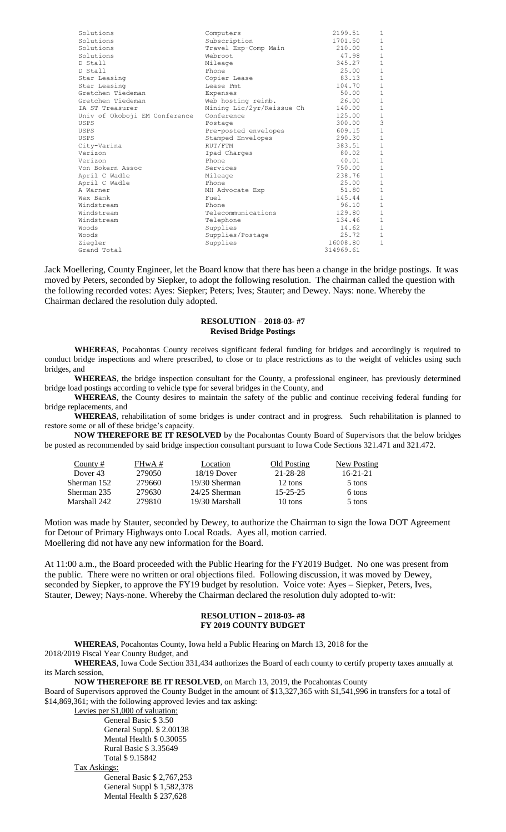| Solutions                     | Computers                 | 2199.51   | $\mathbf{1}$   |
|-------------------------------|---------------------------|-----------|----------------|
| Solutions                     | Subscription              | 1701.50   | $\mathbf 1$    |
| Solutions                     | Travel Exp-Comp Main      | 210.00    | $1\,$          |
| Solutions                     | Webroot                   | 47.98     | $\,1\,$        |
| D Stall                       | Mileage                   | 345.27    | $\,1\,$        |
| D Stall                       | Phone                     | 25.00     | $\mathbf 1$    |
| Star Leasing                  | Copier Lease              | 83.13     | $1\,$          |
| Star Leasing                  | Lease Pmt                 | 104.70    | $1\,$          |
| Gretchen Tiedeman             | Expenses                  | 50.00     | $\mathbf 1$    |
| Gretchen Tiedeman             | Web hosting reimb.        | 26.00     | $\,1$          |
| IA ST Treasurer               | Mining Lic/2yr/Reissue Ch | 140.00    | $\mathbf 1$    |
| Univ of Okoboji EM Conference | Conference                | 125.00    | $\mathbf{1}$   |
| USPS                          | Postage                   | 300.00    | $\overline{3}$ |
| USPS                          | Pre-posted envelopes      | 609.15    | $\mathbf 1$    |
| USPS                          | Stamped Envelopes         | 290.30    | $\mathbf 1$    |
| City-Varina                   | RUT/FTM                   | 383.51    | $\mathbf 1$    |
| Verizon                       | Ipad Charges              | 80.02     | $\mathbf 1$    |
| Verizon                       | Phone                     | 40.01     | $\mathbf 1$    |
| Von Bokern Assoc              | Services                  | 750.00    | $\overline{1}$ |
| April C Wadle                 | Mileage                   | 238.76    | $\,1\,$        |
| April C Wadle                 | Phone                     | 25.00     | $1\,$          |
| A Warner                      | MH Advocate Exp           | 51.80     | $\mathbf 1$    |
| Wex Bank                      | Fuel                      | 145.44    | $\,1\,$        |
| Windstream                    | Phone                     | 96.10     | $1\,$          |
| Windstream                    | Telecommunications        | 129.80    | $\mathbf 1$    |
| Windstream                    | Telephone                 | 134.46    | $\,1\,$        |
| Woods                         | Supplies                  | 14.62     | $\,1\,$        |
| Woods                         | Supplies/Postage          | 25.72     | $1\,$          |
| Ziegler                       | Supplies                  | 16008.80  | 1              |
| Grand Total                   |                           | 314969.61 |                |

Jack Moellering, County Engineer, let the Board know that there has been a change in the bridge postings. It was moved by Peters, seconded by Siepker, to adopt the following resolution. The chairman called the question with the following recorded votes: Ayes: Siepker; Peters; Ives; Stauter; and Dewey. Nays: none. Whereby the Chairman declared the resolution duly adopted.

## **RESOLUTION – 2018-03- #7 Revised Bridge Postings**

**WHEREAS**, Pocahontas County receives significant federal funding for bridges and accordingly is required to conduct bridge inspections and where prescribed, to close or to place restrictions as to the weight of vehicles using such bridges, and

**WHEREAS**, the bridge inspection consultant for the County, a professional engineer, has previously determined bridge load postings according to vehicle type for several bridges in the County, and

**WHEREAS**, the County desires to maintain the safety of the public and continue receiving federal funding for bridge replacements, and

**WHEREAS**, rehabilitation of some bridges is under contract and in progress. Such rehabilitation is planned to restore some or all of these bridge's capacity.

**NOW THEREFORE BE IT RESOLVED** by the Pocahontas County Board of Supervisors that the below bridges be posted as recommended by said bridge inspection consultant pursuant to Iowa Code Sections 321.471 and 321.472.

| County#      | $FHwA \#$ | Location        | Old Posting    | New Posting    |
|--------------|-----------|-----------------|----------------|----------------|
| Dover 43     | 279050    | $18/19$ Dover   | 21-28-28       | $16 - 21 - 21$ |
| Sherman 152  | 279660    | 19/30 Sherman   | 12 tons        | 5 tons         |
| Sherman 235  | 279630    | $24/25$ Sherman | $15 - 25 - 25$ | 6 tons         |
| Marshall 242 | 279810    | 19/30 Marshall  | 10 tons        | 5 tons         |

Motion was made by Stauter, seconded by Dewey, to authorize the Chairman to sign the Iowa DOT Agreement for Detour of Primary Highways onto Local Roads. Ayes all, motion carried. Moellering did not have any new information for the Board.

At 11:00 a.m., the Board proceeded with the Public Hearing for the FY2019 Budget. No one was present from the public. There were no written or oral objections filed. Following discussion, it was moved by Dewey, seconded by Siepker, to approve the FY19 budget by resolution. Voice vote: Ayes – Siepker, Peters, Ives, Stauter, Dewey; Nays-none. Whereby the Chairman declared the resolution duly adopted to-wit:

## **RESOLUTION – 2018-03- #8 FY 2019 COUNTY BUDGET**

**WHEREAS**, Pocahontas County, Iowa held a Public Hearing on March 13, 2018 for the

2018/2019 Fiscal Year County Budget, and

**WHEREAS**, Iowa Code Section 331,434 authorizes the Board of each county to certify property taxes annually at its March session,

**NOW THEREFORE BE IT RESOLVED**, on March 13, 2019, the Pocahontas County Board of Supervisors approved the County Budget in the amount of \$13,327,365 with \$1,541,996 in transfers for a total of \$14,869,361; with the following approved levies and tax asking:

Levies per \$1,000 of valuation: General Basic \$ 3.50 General Suppl. \$ 2.00138 Mental Health \$ 0.30055 Rural Basic \$ 3.35649 Total \$ 9.15842 Tax Askings: General Basic \$ 2,767,253 General Suppl \$ 1,582,378 Mental Health \$ 237,628